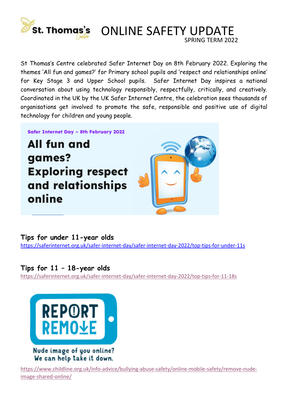

St Thomas's Centre celebrated Safer Internet Day on 8th February 2022. Exploring the themes 'All fun and games?' for Primary school pupils and 'respect and relationships online' for Key Stage 3 and Upper School pupils. Safer Internet Day inspires a national conversation about using technology responsibly, respectfully, critically, and creatively. Coordinated in the UK by the UK Safer Internet Centre, the celebration sees thousands of organisations get involved to promote the safe, responsible and positive use of digital technology for children and young people.

Safer Internet Day - 8th February 2022

All fun and games? **Exploring respect** and relationships online



SPRING TERM 2022

Tips for under 11-year olds https://saferinternet.org.uk/safer-internet-day/safer-internet-day-2022/top-tips-for-under-11s

Tips for 11 – 18-year olds https://saferinternet.org.uk/safer-internet-day/safer-internet-day-2022/top-tips-for-11-18s



We can help take it down.

https://www.childline.org.uk/info-advice/bullying-abuse-safety/online-mobile-safety/remove-nudeimage-shared-online/